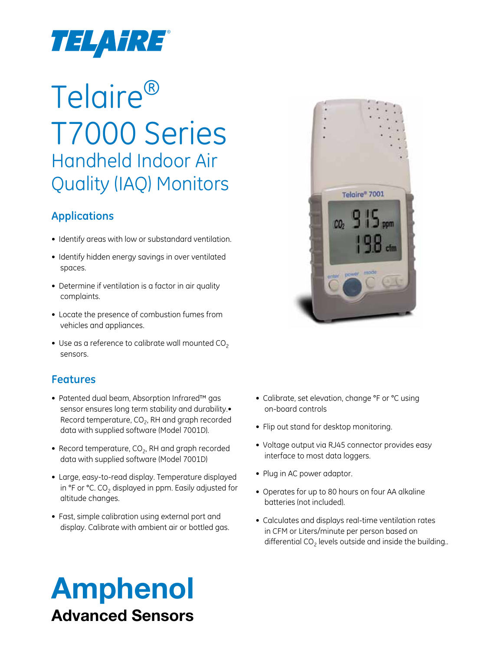

# Telaire® T7000 Series Handheld Indoor Air Quality (IAQ) Monitors

## **Applications**

- Identify areas with low or substandard ventilation.
- Identify hidden energy savings in over ventilated spaces.
- Determine if ventilation is a factor in air quality complaints.
- • Locate the presence of combustion fumes from vehicles and appliances.
- Use as a reference to calibrate wall mounted  $CO<sub>2</sub>$ sensors.

## **Features**

- • Patented dual beam, Absorption Infrared™ gas sensor ensures long term stability and durability.• Record temperature,  $CO<sub>2</sub>$ , RH and graph recorded data with supplied software (Model 7001D).
- Record temperature,  $CO<sub>2</sub>$ , RH and graph recorded data with supplied software (Model 7001D)
- • Large, easy-to-read display. Temperature displayed in  $\degree$ F or  $\degree$ C. CO<sub>2</sub> displayed in ppm. Easily adjusted for altitude changes.
- Fast, simple calibration using external port and display. Calibrate with ambient air or bottled gas.



- Calibrate, set elevation, change °F or °C using on-board controls
- Flip out stand for desktop monitoring.
- Voltage output via RJ45 connector provides easy interface to most data loggers.
- Plug in AC power adaptor.
- Operates for up to 80 hours on four AA alkaline batteries (not included).
- Calculates and displays real-time ventilation rates in CFM or Liters/minute per person based on differential  $CO<sub>2</sub>$  levels outside and inside the building..

## Amphenol Advanced Sensors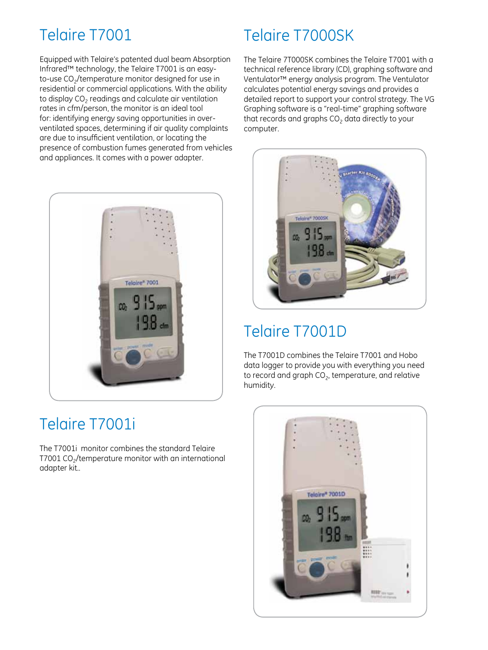## Telaire T7001

Equipped with Telaire's patented dual beam Absorption Infrared™ technology, the Telaire T7001 is an easyto-use CO<sub>2</sub>/temperature monitor designed for use in residential or commercial applications. With the ability to display  $CO<sub>2</sub>$  readings and calculate air ventilation rates in cfm/person, the monitor is an ideal tool for: identifying energy saving opportunities in overventilated spaces, determining if air quality complaints are due to insufficient ventilation, or locating the presence of combustion fumes generated from vehicles and appliances. It comes with a power adapter.



## Telaire T7001i

The T7001i monitor combines the standard Telaire T7001 CO<sub>2</sub>/temperature monitor with an international adapter kit..

## Telaire T7000SK

The Telaire 7T000SK combines the Telaire T7001 with a technical reference library (CD), graphing software and Ventulator™ energy analysis program. The Ventulator calculates potential energy savings and provides a detailed report to support your control strategy. The VG Graphing software is a "real-time" graphing software that records and graphs  $CO<sub>2</sub>$  data directly to your computer.



## Telaire T7001D

The T7001D combines the Telaire T7001 and Hobo data logger to provide you with everything you need to record and graph  $CO<sub>2</sub>$ , temperature, and relative humidity.

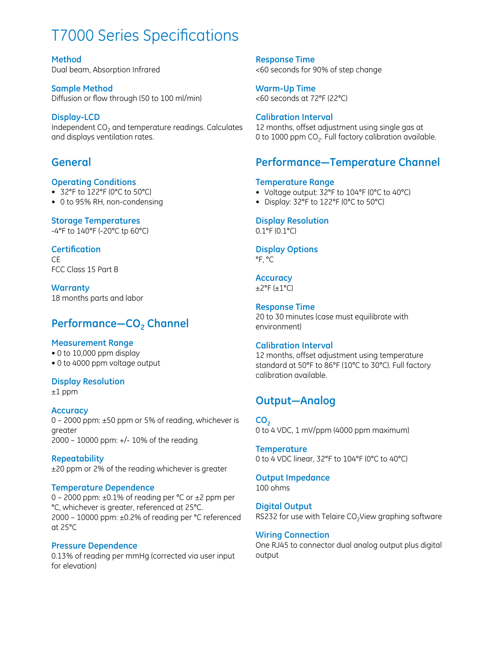## T7000 Series Specifications

**Method** Dual beam, Absorption Infrared

**Sample Method** Diffusion or flow through (50 to 100 ml/min)

#### **Display-LCD** Independent CO<sub>2</sub> and temperature readings. Calculates and displays ventilation rates.

## **General**

## **Operating Conditions**

- • 32°F to 122°F (0°C to 50°C)
- 0 to 95% RH, non-condensing

## **Storage Temperatures**

-4°F to 140°F (-20°C tp 60°C)

## **Certification**

 $\subset$ FCC Class 15 Part B

**Warranty** 18 months parts and labor

## Performance-CO<sub>2</sub> Channel

### **Measurement Range**

- 0 to 10,000 ppm display
- 0 to 4000 ppm voltage output

### **Display Resolution**

±1 ppm

### **Accuracy**

0 – 2000 ppm: ±50 ppm or 5% of reading, whichever is greater 2000 – 10000 ppm: +/- 10% of the reading

**Repeatability** ±20 ppm or 2% of the reading whichever is greater

### **Temperature Dependence**

0 – 2000 ppm:  $\pm 0.1\%$  of reading per °C or  $\pm 2$  ppm per °C, whichever is greater, referenced at 25°C. 2000 – 10000 ppm: ±0.2% of reading per °C referenced at 25°C

### **Pressure Dependence**

0.13% of reading per mmHg (corrected via user input for elevation)

**Response Time** <60 seconds for 90% of step change

**Warm-Up Time** <60 seconds at 72°F (22°C)

### **Calibration Interval**

12 months, offset adjustment using single gas at 0 to 1000 ppm  $CO<sub>2</sub>$ . Full factory calibration available.

## **Performance—Temperature Channel**

### **Temperature Range**

- Voltage output: 32°F to 104°F (0°C to 40°C)
- • Display: 32°F to 122°F (0°C to 50°C)

## **Display Resolution**

0.1°F (0.1°C)

## **Display Options**

°F, °C

### **Accuracy**

 $\pm 2$ °F ( $\pm 1$ °C)

## **Response Time**

20 to 30 minutes (case must equilibrate with environment)

### **Calibration Interval**

12 months, offset adjustment using temperature standard at 50°F to 86°F (10°C to 30°C). Full factory calibration available.

## **Output—Analog**

**CO<sub>2</sub>** 0 to 4 VDC, 1 mV/ppm (4000 ppm maximum)

**Temperature** 0 to 4 VDC linear, 32°F to 104°F (0°C to 40°C)

**Output Impedance** 100 ohms

**Digital Output** RS232 for use with Telaire  $CO<sub>2</sub>$ View graphing software

### **Wiring Connection**

One RJ45 to connector dual analog output plus digital output